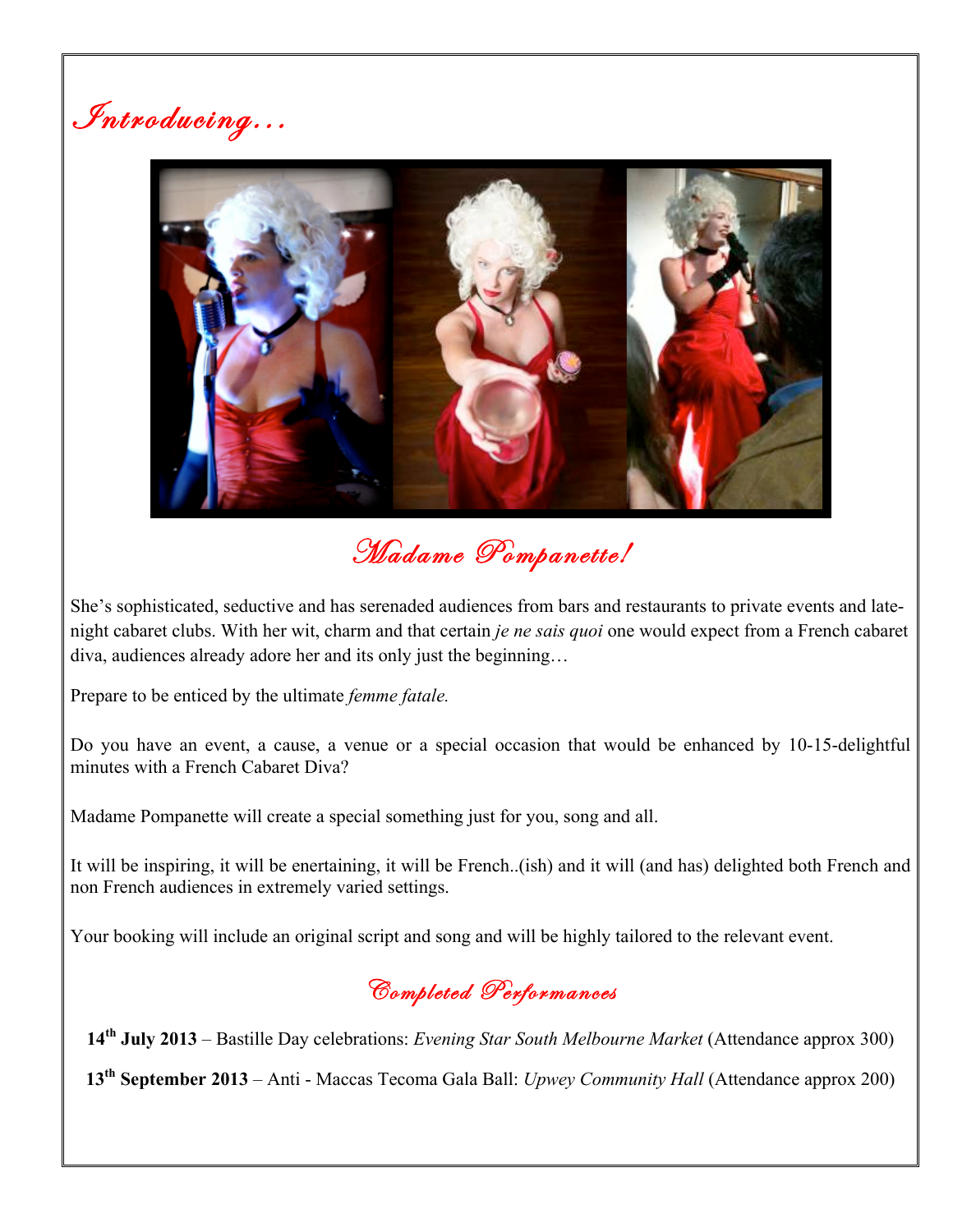Introducing...



Madame Pompanette!

She's sophisticated, seductive and has serenaded audiences from bars and restaurants to private events and latenight cabaret clubs. With her wit, charm and that certain *je ne sais quoi* one would expect from a French cabaret diva, audiences already adore her and its only just the beginning…

Prepare to be enticed by the ultimate *femme fatale.*

Do you have an event, a cause, a venue or a special occasion that would be enhanced by 10-15-delightful minutes with a French Cabaret Diva?

Madame Pompanette will create a special something just for you, song and all.

It will be inspiring, it will be enertaining, it will be French..(ish) and it will (and has) delighted both French and non French audiences in extremely varied settings.

Your booking will include an original script and song and will be highly tailored to the relevant event.



**14th July 2013** – Bastille Day celebrations: *Evening Star South Melbourne Market* (Attendance approx 300)

**13th September 2013** – Anti - Maccas Tecoma Gala Ball: *Upwey Community Hall* (Attendance approx 200)